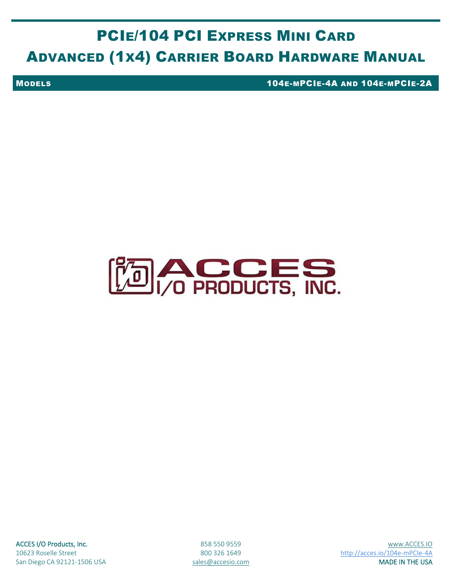# PCIE/104 PCI EXPRESS MINI CARD

# ADVANCED (1X4) CARRIER BOARD HARDWARE MANUAL

MODELS 104E-MPCIE-4A AND 104E-MPCIE-2A

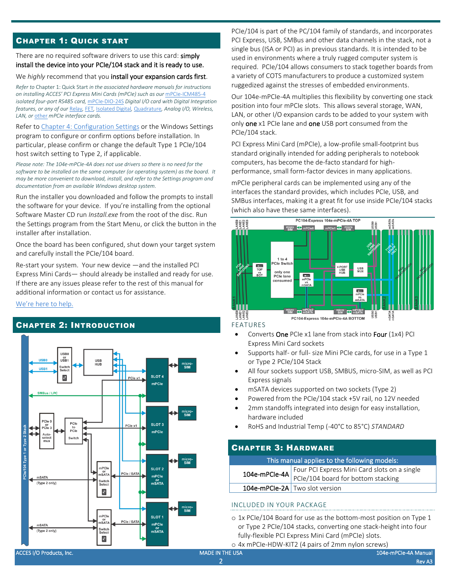# CHAPTER 1: QUICK START

## There are no required software drivers to use this card: simply install the device into your PCIe/104 stack and it is ready to use.

## We *highly* recommend that you install your expansion cards first.

*Refer to* Chapter 1: Quick Start *in the associated hardware manuals for instructions on installing ACCES' PCI Express Mini Cards (mPCIe) such as our* [mPCIe-ICM485-4](https://accesio.com/?p=../mpcie/mpcie-icm485-4.html) *isolated four-port RS485 card,* [mPCIe-DIO-24S](https://accesio.com/mPCIe-DIO-24s) *Digital I/O card with Digital Integration features, or any of our* [Relay](https://accesio.com/mPCIe-IIRO-8)*,* [FET](https://accesio.com/mPCIe-IDIO-8)*,* [Isolated Digital](https://accesio.com/mPCIe-II-16)*,* [Quadrature](https://accesio.com/mPCIe-QUAD-8)*, Analog I/O, Wireless, LAN, or* [other](https://accesio.com/?p=../cat/mpcie.html) *mPCIe interface cards.*

Refer to [Chapter 4: Configuration Settings](#page-2-0) or the Windows Settings program to configure or confirm options before installation. In particular, please confirm or change the default Type 1 PCIe/104 host switch setting to Type 2, if applicable.

*Please note: The 104e-mPCIe-4A does not use drivers so there is no need for the software to be installed on the same computer (or operating system) as the board. It may be more convenient to download, install, and refer to the Settings program and documentation from an available Windows desktop system.*

Run the installer you downloaded and follow the prompts to install the software for your device. If you're installing from the optional Software Master CD run *Install.exe* from the root of the disc. Run the Settings program from the Start Menu, or click the button in the installer after installation.

Once the board has been configured, shut down your target system and carefully install the PCIe/104 board.

Re-start your system. Your new device —and the installed PCI Express Mini Cards— should already be installed and ready for use. If there are any issues please refer to the rest of this manual for additional information or contact us for assistance.

## [We're here to help.](https://accesio.com/?p=../104e/104e-mpcie-4a.html#Chat)



PCIe/104 is part of the PC/104 family of standards, and incorporates PCI Express, USB, SMBus and other data channels in the stack, not a single bus (ISA or PCI) as in previous standards. It is intended to be used in environments where a truly rugged computer system is required. PCIe/104 allows consumers to stack together boards from a variety of COTS manufacturers to produce a customized system ruggedized against the stresses of embedded environments.

Our 104e-mPCIe-4A multiplies this flexibility by converting one stack position into four mPCIe slots. This allows several storage, WAN, LAN, or other I/O expansion cards to be added to your system with only **one** x1 PCIe lane and **one** USB port consumed from the PCIe/104 stack.

PCI Express Mini Card (mPCIe), a low-profile small-footprint bus standard originally intended for adding peripherals to notebook computers, has become the de-facto standard for highperformance, small form-factor devices in many applications.

mPCIe peripheral cards can be implemented using any of the interfaces the standard provides, which includes PCIe, USB, and SMBus interfaces, making it a great fit for use inside PCIe/104 stacks (which also have these same interfaces).



FEATURES

- Converts One PCIe x1 lane from stack into Four (1x4) PCI Express Mini Card sockets
- Supports half- or full- size Mini PCIe cards, for use in a Type 1 or Type 2 PCIe/104 Stack
- All four sockets support USB, SMBUS, micro-SIM, as well as PCI Express signals
- mSATA devices supported on two sockets (Type 2)
- Powered from the PCIe/104 stack +5V rail, no 12V needed
- 2mm standoffs integrated into design for easy installation, hardware included
- RoHS and Industrial Temp (-40°C to 85°C) *STANDARD*

## <span id="page-1-0"></span>CHAPTER 3: HARDWARE

| This manual applies to the following models: |                                                                                                  |  |  |  |
|----------------------------------------------|--------------------------------------------------------------------------------------------------|--|--|--|
|                                              | 104e-mPCle-4A Four PCI Express Mini Card slots on a single<br>PCIe/104 board for bottom stacking |  |  |  |
|                                              |                                                                                                  |  |  |  |
|                                              | 104e-mPCle-2A Two slot version                                                                   |  |  |  |

## INCLUDED IN YOUR PACKAGE

o 1x PCIe/104 Board for use as the bottom-most position on Type 1 or Type 2 PCIe/104 stacks, converting one stack-height into four fully-flexible PCI Express Mini Card (mPCIe) slots.

o 4x mPCIe-HDW-KIT2 (4 pairs of 2mm nylon screws)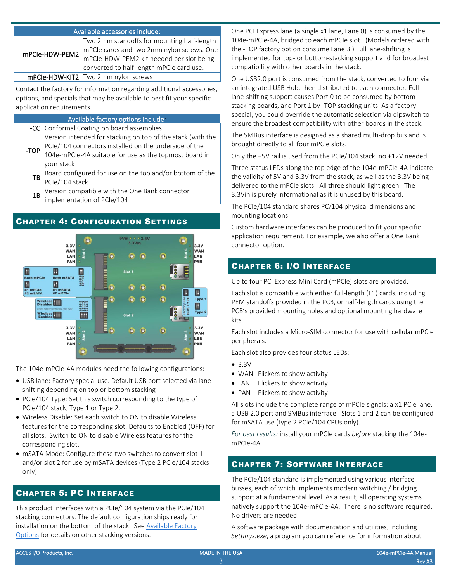| Available accessories include: |                                            |  |
|--------------------------------|--------------------------------------------|--|
| mPCle-HDW-PEM2                 | Two 2mm standoffs for mounting half-length |  |
|                                | mPCle cards and two 2mm nylon screws. One  |  |
|                                | mPCIe-HDW-PEM2 kit needed per slot being   |  |
|                                | converted to half-length mPCIe card use.   |  |
|                                | mPCle-HDW-KIT2   Two 2mm nylon screws      |  |

Contact the factory for information regarding additional accessories, options, and specials that may be available to best fit your specific application requirements.

## Available factory options include:

|      | <b>-CC</b> Conformal Coating on board assemblies                                                                |  |  |
|------|-----------------------------------------------------------------------------------------------------------------|--|--|
|      | Version intended for stacking on top of the stack (with the                                                     |  |  |
| -TOP | PCIe/104 connectors installed on the underside of the<br>104e-mPCIe-4A suitable for use as the topmost board in |  |  |
|      |                                                                                                                 |  |  |
|      | your stack                                                                                                      |  |  |

- -TB Board configured for use on the top and/or bottom of the PCIe/104 stack
- -1B Version compatible with the One Bank connector
- implementation of PCIe/104

<span id="page-2-0"></span>



The 104e-mPCIe-4A modules need the following configurations:

- USB lane: Factory special use. Default USB port selected via lane shifting depending on top or bottom stacking
- PCIe/104 Type: Set this switch corresponding to the type of PCIe/104 stack, Type 1 or Type 2.
- Wireless Disable: Set each switch to ON to disable Wireless features for the corresponding slot. Defaults to Enabled (OFF) for all slots. Switch to ON to disable Wireless features for the corresponding slot.
- mSATA Mode: Configure these two switches to convert slot 1 and/or slot 2 for use by mSATA devices (Type 2 PCIe/104 stacks only)

# CHAPTER 5: PC INTERFACE

This product interfaces with a PCIe/104 system via the PCIe/104 stacking connectors. The default configuration ships ready for installation on the bottom of the stack. See [Available Factory](#page-1-0)  [Options](#page-1-0) for details on other stacking versions.

One PCI Express lane (a single x1 lane, Lane 0) is consumed by the 104e-mPCIe-4A, bridged to each mPCIe slot. (Models ordered with the -TOP factory option consume Lane 3.) Full lane-shifting is implemented for top- or bottom-stacking support and for broadest compatibility with other boards in the stack.

One USB2.0 port is consumed from the stack, converted to four via an integrated USB Hub, then distributed to each connector. Full lane-shifting support causes Port 0 to be consumed by bottomstacking boards, and Port 1 by -TOP stacking units. As a factory special, you could override the automatic selection via dipswitch to ensure the broadest compatibility with other boards in the stack.

The SMBus interface is designed as a shared multi-drop bus and is brought directly to all four mPCIe slots.

Only the +5V rail is used from the PCIe/104 stack, no +12V needed.

Three status LEDs along the top edge of the 104e-mPCIe-4A indicate the validity of 5V and 3.3V from the stack, as well as the 3.3V being delivered to the mPCIe slots. All three should light green. The 3.3Vin is purely informational as it is unused by this board.

The PCIe/104 standard shares PC/104 physical dimensions and mounting locations.

Custom hardware interfaces can be produced to fit your specific application requirement. For example, we also offer a One Bank connector option.

# CHAPTER 6: I/O INTERFACE

Up to four PCI Express Mini Card (mPCIe) slots are provided.

Each slot is compatible with either full-length (F1) cards, including PEM standoffs provided in the PCB, or half-length cards using the PCB's provided mounting holes and optional mounting hardware kits.

Each slot includes a Micro-SIM connector for use with cellular mPCIe peripherals.

Each slot also provides four status LEDs:

- 3.3V
- WAN Flickers to show activity
- LAN Flickers to show activity
- PAN Flickers to show activity

All slots include the complete range of mPCIe signals: a x1 PCIe lane, a USB 2.0 port and SMBus interface. Slots 1 and 2 can be configured for mSATA use (type 2 PCIe/104 CPUs only).

*For best results:* install your mPCIe cards *before* stacking the 104emPCIe-4A.

# CHAPTER 7: SOFTWARE INTERFACE

The PCIe/104 standard is implemented using various interface busses, each of which implements modern switching / bridging support at a fundamental level. As a result, all operating systems natively support the 104e-mPCIe-4A. There is no software required. No drivers are needed.

A software package with documentation and utilities, including *Settings.exe*, a program you can reference for information about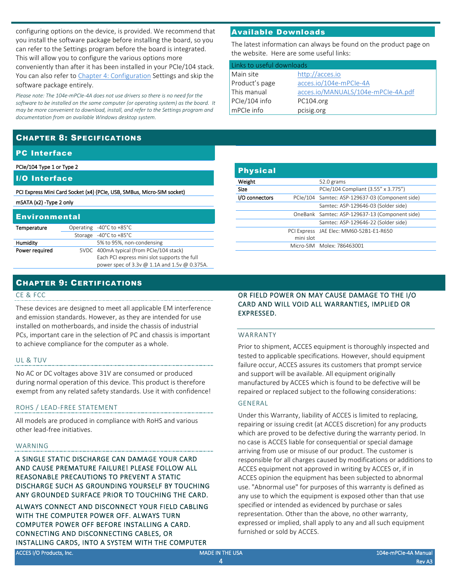configuring options on the device, is provided. We recommend that you install the software package before installing the board, so you can refer to the Settings program before the board is integrated. This will allow you to configure the various options more

conveniently than after it has been installed in your PCIe/104 stack. You can also refer t[o Chapter 4: Configuration](#page-2-0) Settings and skip the software package entirely.

*Please note: The 104e-mPCIe-4A does not use drivers so there is no need for the software to be installed on the same computer (or operating system) as the board. It may be more convenient to download, install, and refer to the Settings program and documentation from an available Windows desktop system.*

# CHAPTER 8: SPECIFICATIONS

## PC Interface

PCIe/104 Type 1 or Type 2

## I/O Interface

PCI Express Mini Card Socket (x4) (PCIe, USB, SMBus, Micro-SIM socket)

## mSATA (x2) -Type 2 only

| Environmental   |  |                                              |  |  |
|-----------------|--|----------------------------------------------|--|--|
| Temperature     |  | Operating $-40^{\circ}$ C to $+85^{\circ}$ C |  |  |
|                 |  | Storage -40°C to +85°C                       |  |  |
| <b>Humidity</b> |  | 5% to 95%, non-condensing                    |  |  |
| Power required  |  | 5VDC 400mA typical (from PCIe/104 stack)     |  |  |
|                 |  | Each PCI express mini slot supports the full |  |  |
|                 |  | power spec of 3.3v @ 1.1A and 1.5v @ 0.375A. |  |  |

## CHAPTER 9: CERTIFICATIONS

## CE & FCC

These devices are designed to meet all applicable EM interference and emission standards. However, as they are intended for use installed on motherboards, and inside the chassis of industrial PCs, important care in the selection of PC and chassis is important to achieve compliance for the computer as a whole.

## UL & TUV

No AC or DC voltages above 31V are consumed or produced during normal operation of this device. This product is therefore exempt from any related safety standards. Use it with confidence!

## ROHS / LEAD-FREE STATEMENT

All models are produced in compliance with RoHS and various other lead-free initiatives.

## WARNING

A SINGLE STATIC DISCHARGE CAN DAMAGE YOUR CARD AND CAUSE PREMATURE FAILURE! PLEASE FOLLOW ALL REASONABLE PRECAUTIONS TO PREVENT A STATIC DISCHARGE SUCH AS GROUNDING YOURSELF BY TOUCHING ANY GROUNDED SURFACE PRIOR TO TOUCHING THE CARD.

ALWAYS CONNECT AND DISCONNECT YOUR FIELD CABLING WITH THE COMPUTER POWER OFF. ALWAYS TURN COMPUTER POWER OFF BEFORE INSTALLING A CARD. CONNECTING AND DISCONNECTING CABLES, OR INSTALLING CARDS, INTO A SYSTEM WITH THE COMPUTER

## Available Downloads

The latest information can always be found on the product page on the website. Here are some useful links:

#### Links to useful downloads

| Main site      | http://acces.io                    |
|----------------|------------------------------------|
| Product's page | acces.io/104e-mPCle-4A             |
| This manual    | acces.io/MANUALS/104e-mPCle-4A.pdf |
| PCIe/104 info  | PC104.org                          |
| mPCIe info     | pcisig.org                         |

| <b>Physical</b> |           |                                                 |
|-----------------|-----------|-------------------------------------------------|
| Weight          |           | 52.0 grams                                      |
| <b>Size</b>     |           | PCle/104 Compliant (3.55" x 3.775")             |
| I/O connectors  |           | PCIe/104 Samtec: ASP-129637-03 (Component side) |
|                 |           | Samtec: ASP-129646-03 (Solder side)             |
|                 |           | OneBank Samtec: ASP-129637-13 (Component side)  |
|                 |           | Samtec: ASP-129646-22 (Solder side)             |
|                 | mini slot | PCI Express JAE Elec: MM60-52B1-E1-R650         |
|                 |           | Micro-SIM Molex: 786463001                      |

## OR FIELD POWER ON MAY CAUSE DAMAGE TO THE I/O CARD AND WILL VOID ALL WARRANTIES, IMPLIED OR EXPRESSED.

## WARRANTY

Prior to shipment, ACCES equipment is thoroughly inspected and tested to applicable specifications. However, should equipment failure occur, ACCES assures its customers that prompt service and support will be available. All equipment originally manufactured by ACCES which is found to be defective will be repaired or replaced subject to the following considerations:

## GENERAL

Under this Warranty, liability of ACCES is limited to replacing, repairing or issuing credit (at ACCES discretion) for any products which are proved to be defective during the warranty period. In no case is ACCES liable for consequential or special damage arriving from use or misuse of our product. The customer is responsible for all charges caused by modifications or additions to ACCES equipment not approved in writing by ACCES or, if in ACCES opinion the equipment has been subjected to abnormal use. "Abnormal use" for purposes of this warranty is defined as any use to which the equipment is exposed other than that use specified or intended as evidenced by purchase or sales representation. Other than the above, no other warranty, expressed or implied, shall apply to any and all such equipment furnished or sold by ACCES.